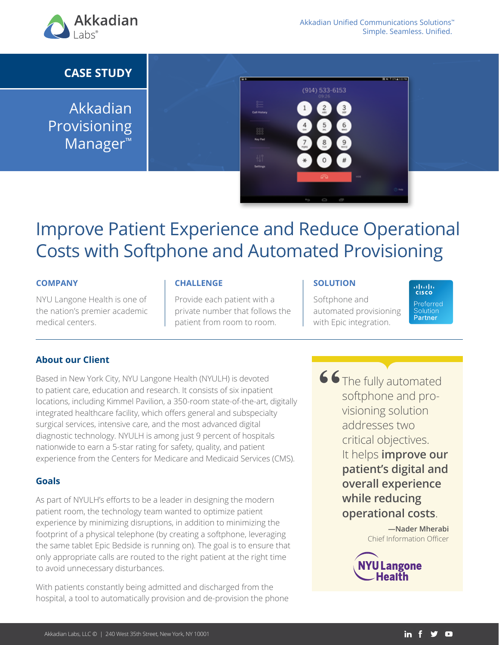

# **CASE STUDY**

Akkadian Provisioning Manager™



# Improve Patient Experience and Reduce Operational Costs with Softphone and Automated Provisioning

#### **COMPANY**

NYU Langone Health is one of the nation's premier academic medical centers.

#### **CHALLENGE**

Provide each patient with a private number that follows the patient from room to room.

#### **SOLUTION**

Softphone and automated provisioning with Epic integration.

afrafia<br>Icisco Preferred Solution Partner

### **About our Client**

Based in New York City, NYU Langone Health (NYULH) is devoted to patient care, education and research. It consists of six inpatient locations, including Kimmel Pavilion, a 350-room state-of-the-art, digitally integrated healthcare facility, which offers general and subspecialty surgical services, intensive care, and the most advanced digital diagnostic technology. NYULH is among just 9 percent of hospitals nationwide to earn a 5-star rating for safety, quality, and patient experience from the Centers for Medicare and Medicaid Services (CMS).

#### **Goals**

As part of NYULH's efforts to be a leader in designing the modern patient room, the technology team wanted to optimize patient experience by minimizing disruptions, in addition to minimizing the footprint of a physical telephone (by creating a softphone, leveraging the same tablet Epic Bedside is running on). The goal is to ensure that only appropriate calls are routed to the right patient at the right time to avoid unnecessary disturbances.

With patients constantly being admitted and discharged from the hospital, a tool to automatically provision and de-provision the phone

The fully automated softphone and provisioning solution addresses two critical objectives. It helps **improve our patient's digital and overall experience while reducing operational costs**. **"**